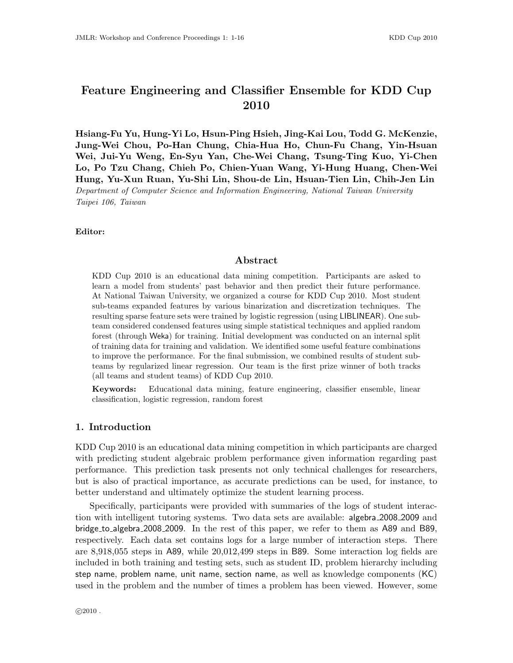# Feature Engineering and Classifier Ensemble for KDD Cup 2010

Hsiang-Fu Yu, Hung-Yi Lo, Hsun-Ping Hsieh, Jing-Kai Lou, Todd G. McKenzie, Jung-Wei Chou, Po-Han Chung, Chia-Hua Ho, Chun-Fu Chang, Yin-Hsuan Wei, Jui-Yu Weng, En-Syu Yan, Che-Wei Chang, Tsung-Ting Kuo, Yi-Chen Lo, Po Tzu Chang, Chieh Po, Chien-Yuan Wang, Yi-Hung Huang, Chen-Wei Hung, Yu-Xun Ruan, Yu-Shi Lin, Shou-de Lin, Hsuan-Tien Lin, Chih-Jen Lin Department of Computer Science and Information Engineering, National Taiwan University Taipei 106, Taiwan

Editor:

#### Abstract

KDD Cup 2010 is an educational data mining competition. Participants are asked to learn a model from students' past behavior and then predict their future performance. At National Taiwan University, we organized a course for KDD Cup 2010. Most student sub-teams expanded features by various binarization and discretization techniques. The resulting sparse feature sets were trained by logistic regression (using LIBLINEAR). One subteam considered condensed features using simple statistical techniques and applied random forest (through Weka) for training. Initial development was conducted on an internal split of training data for training and validation. We identified some useful feature combinations to improve the performance. For the final submission, we combined results of student subteams by regularized linear regression. Our team is the first prize winner of both tracks (all teams and student teams) of KDD Cup 2010.

Keywords: Educational data mining, feature engineering, classifier ensemble, linear classification, logistic regression, random forest

## 1. Introduction

KDD Cup 2010 is an educational data mining competition in which participants are charged with predicting student algebraic problem performance given information regarding past performance. This prediction task presents not only technical challenges for researchers, but is also of practical importance, as accurate predictions can be used, for instance, to better understand and ultimately optimize the student learning process.

Specifically, participants were provided with summaries of the logs of student interaction with intelligent tutoring systems. Two data sets are available: algebra 2008 2009 and bridge to algebra 2008 2009. In the rest of this paper, we refer to them as A89 and B89, respectively. Each data set contains logs for a large number of interaction steps. There are 8,918,055 steps in A89, while 20,012,499 steps in B89. Some interaction log fields are included in both training and testing sets, such as student ID, problem hierarchy including step name, problem name, unit name, section name, as well as knowledge components (KC) used in the problem and the number of times a problem has been viewed. However, some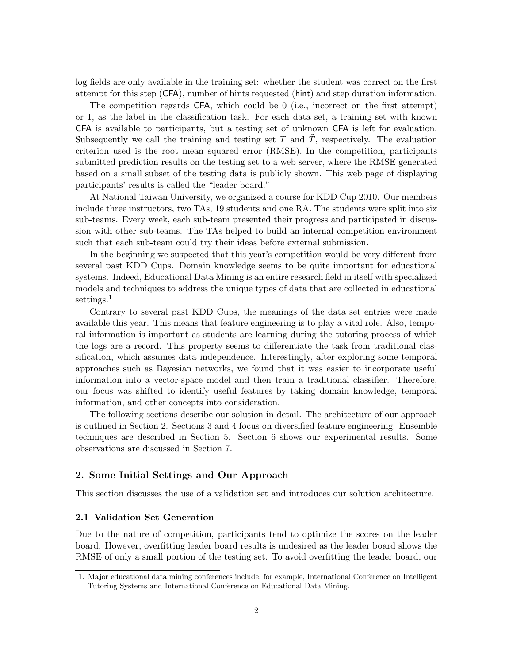log fields are only available in the training set: whether the student was correct on the first attempt for this step (CFA), number of hints requested (hint) and step duration information.

The competition regards CFA, which could be 0 (i.e., incorrect on the first attempt) or 1, as the label in the classification task. For each data set, a training set with known CFA is available to participants, but a testing set of unknown CFA is left for evaluation. Subsequently we call the training and testing set  $T$  and  $T$ , respectively. The evaluation criterion used is the root mean squared error (RMSE). In the competition, participants submitted prediction results on the testing set to a web server, where the RMSE generated based on a small subset of the testing data is publicly shown. This web page of displaying participants' results is called the "leader board."

At National Taiwan University, we organized a course for KDD Cup 2010. Our members include three instructors, two TAs, 19 students and one RA. The students were split into six sub-teams. Every week, each sub-team presented their progress and participated in discussion with other sub-teams. The TAs helped to build an internal competition environment such that each sub-team could try their ideas before external submission.

In the beginning we suspected that this year's competition would be very different from several past KDD Cups. Domain knowledge seems to be quite important for educational systems. Indeed, Educational Data Mining is an entire research field in itself with specialized models and techniques to address the unique types of data that are collected in educational settings.<sup>1</sup>

Contrary to several past KDD Cups, the meanings of the data set entries were made available this year. This means that feature engineering is to play a vital role. Also, temporal information is important as students are learning during the tutoring process of which the logs are a record. This property seems to differentiate the task from traditional classification, which assumes data independence. Interestingly, after exploring some temporal approaches such as Bayesian networks, we found that it was easier to incorporate useful information into a vector-space model and then train a traditional classifier. Therefore, our focus was shifted to identify useful features by taking domain knowledge, temporal information, and other concepts into consideration.

The following sections describe our solution in detail. The architecture of our approach is outlined in Section 2. Sections 3 and 4 focus on diversified feature engineering. Ensemble techniques are described in Section 5. Section 6 shows our experimental results. Some observations are discussed in Section 7.

## 2. Some Initial Settings and Our Approach

This section discusses the use of a validation set and introduces our solution architecture.

## 2.1 Validation Set Generation

Due to the nature of competition, participants tend to optimize the scores on the leader board. However, overfitting leader board results is undesired as the leader board shows the RMSE of only a small portion of the testing set. To avoid overfitting the leader board, our

<sup>1.</sup> Major educational data mining conferences include, for example, International Conference on Intelligent Tutoring Systems and International Conference on Educational Data Mining.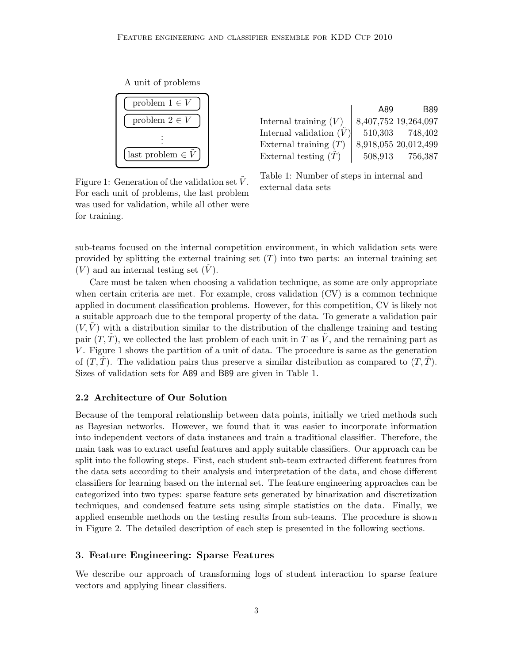A unit of problems



|                           | A89     | <b>B89</b>           |
|---------------------------|---------|----------------------|
| Internal training $(V)$   |         | 8,407,752 19,264,097 |
| Internal validation $(V)$ | 510,303 | 748,402              |
| External training $(T)$   |         | 8,918,055 20,012,499 |
| External testing $(T)$    | 508,913 | 756,387              |

Figure 1: Generation of the validation set  $\overline{V}$ . For each unit of problems, the last problem was used for validation, while all other were for training.

Table 1: Number of steps in internal and external data sets

sub-teams focused on the internal competition environment, in which validation sets were provided by splitting the external training set  $(T)$  into two parts: an internal training set  $(V)$  and an internal testing set  $(V)$ .

Care must be taken when choosing a validation technique, as some are only appropriate when certain criteria are met. For example, cross validation (CV) is a common technique applied in document classification problems. However, for this competition, CV is likely not a suitable approach due to the temporal property of the data. To generate a validation pair  $(V, V)$  with a distribution similar to the distribution of the challenge training and testing pair  $(T, \tilde{T})$ , we collected the last problem of each unit in T as  $\tilde{V}$ , and the remaining part as V . Figure 1 shows the partition of a unit of data. The procedure is same as the generation of  $(T, T)$ . The validation pairs thus preserve a similar distribution as compared to  $(T, T)$ . Sizes of validation sets for A89 and B89 are given in Table 1.

#### 2.2 Architecture of Our Solution

Because of the temporal relationship between data points, initially we tried methods such as Bayesian networks. However, we found that it was easier to incorporate information into independent vectors of data instances and train a traditional classifier. Therefore, the main task was to extract useful features and apply suitable classifiers. Our approach can be split into the following steps. First, each student sub-team extracted different features from the data sets according to their analysis and interpretation of the data, and chose different classifiers for learning based on the internal set. The feature engineering approaches can be categorized into two types: sparse feature sets generated by binarization and discretization techniques, and condensed feature sets using simple statistics on the data. Finally, we applied ensemble methods on the testing results from sub-teams. The procedure is shown in Figure 2. The detailed description of each step is presented in the following sections.

## 3. Feature Engineering: Sparse Features

We describe our approach of transforming logs of student interaction to sparse feature vectors and applying linear classifiers.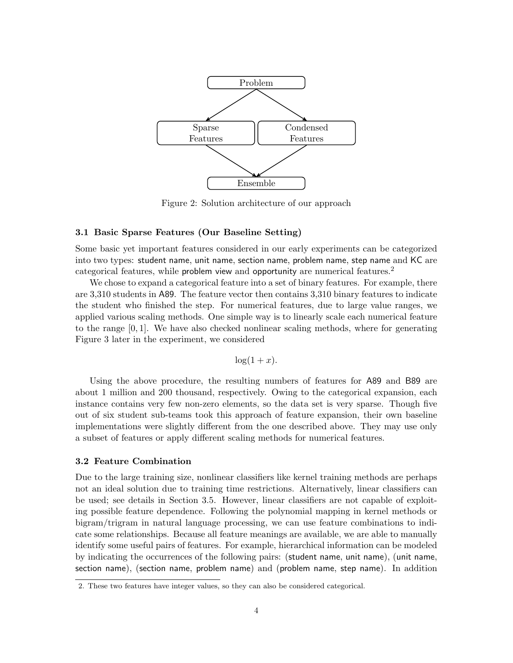

Figure 2: Solution architecture of our approach

## 3.1 Basic Sparse Features (Our Baseline Setting)

Some basic yet important features considered in our early experiments can be categorized into two types: student name, unit name, section name, problem name, step name and KC are categorical features, while problem view and opportunity are numerical features.<sup>2</sup>

We chose to expand a categorical feature into a set of binary features. For example, there are 3,310 students in A89. The feature vector then contains 3,310 binary features to indicate the student who finished the step. For numerical features, due to large value ranges, we applied various scaling methods. One simple way is to linearly scale each numerical feature to the range [0, 1]. We have also checked nonlinear scaling methods, where for generating Figure 3 later in the experiment, we considered

$$
\log(1+x).
$$

Using the above procedure, the resulting numbers of features for A89 and B89 are about 1 million and 200 thousand, respectively. Owing to the categorical expansion, each instance contains very few non-zero elements, so the data set is very sparse. Though five out of six student sub-teams took this approach of feature expansion, their own baseline implementations were slightly different from the one described above. They may use only a subset of features or apply different scaling methods for numerical features.

## 3.2 Feature Combination

Due to the large training size, nonlinear classifiers like kernel training methods are perhaps not an ideal solution due to training time restrictions. Alternatively, linear classifiers can be used; see details in Section 3.5. However, linear classifiers are not capable of exploiting possible feature dependence. Following the polynomial mapping in kernel methods or bigram/trigram in natural language processing, we can use feature combinations to indicate some relationships. Because all feature meanings are available, we are able to manually identify some useful pairs of features. For example, hierarchical information can be modeled by indicating the occurrences of the following pairs: (student name, unit name), (unit name, section name), (section name, problem name) and (problem name, step name). In addition

<sup>2.</sup> These two features have integer values, so they can also be considered categorical.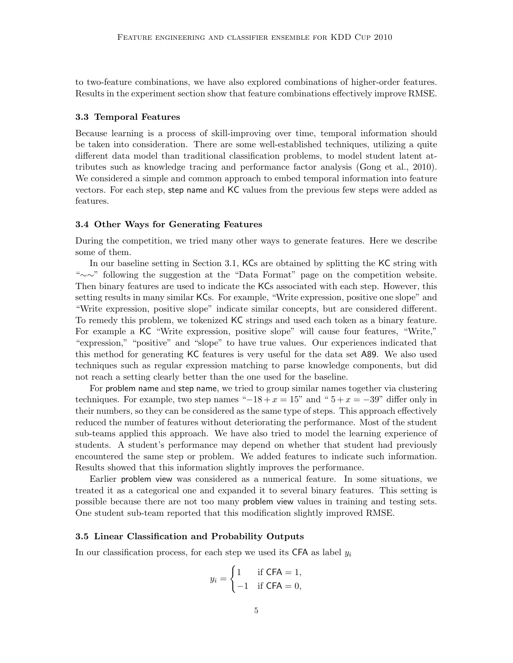to two-feature combinations, we have also explored combinations of higher-order features. Results in the experiment section show that feature combinations effectively improve RMSE.

#### 3.3 Temporal Features

Because learning is a process of skill-improving over time, temporal information should be taken into consideration. There are some well-established techniques, utilizing a quite different data model than traditional classification problems, to model student latent attributes such as knowledge tracing and performance factor analysis (Gong et al., 2010). We considered a simple and common approach to embed temporal information into feature vectors. For each step, step name and KC values from the previous few steps were added as features.

## 3.4 Other Ways for Generating Features

During the competition, we tried many other ways to generate features. Here we describe some of them.

In our baseline setting in Section 3.1, KCs are obtained by splitting the KC string with "∼∼" following the suggestion at the "Data Format" page on the competition website. Then binary features are used to indicate the KCs associated with each step. However, this setting results in many similar KCs. For example, "Write expression, positive one slope" and "Write expression, positive slope" indicate similar concepts, but are considered different. To remedy this problem, we tokenized KC strings and used each token as a binary feature. For example a KC "Write expression, positive slope" will cause four features, "Write," "expression," "positive" and "slope" to have true values. Our experiences indicated that this method for generating KC features is very useful for the data set A89. We also used techniques such as regular expression matching to parse knowledge components, but did not reach a setting clearly better than the one used for the baseline.

For problem name and step name, we tried to group similar names together via clustering techniques. For example, two step names " $-18 + x = 15$ " and " $5 + x = -39$ " differ only in their numbers, so they can be considered as the same type of steps. This approach effectively reduced the number of features without deteriorating the performance. Most of the student sub-teams applied this approach. We have also tried to model the learning experience of students. A student's performance may depend on whether that student had previously encountered the same step or problem. We added features to indicate such information. Results showed that this information slightly improves the performance.

Earlier problem view was considered as a numerical feature. In some situations, we treated it as a categorical one and expanded it to several binary features. This setting is possible because there are not too many problem view values in training and testing sets. One student sub-team reported that this modification slightly improved RMSE.

## 3.5 Linear Classification and Probability Outputs

In our classification process, for each step we used its CFA as label  $y_i$ 

$$
y_i = \begin{cases} 1 & \text{if } \mathsf{CFA} = 1, \\ -1 & \text{if } \mathsf{CFA} = 0, \end{cases}
$$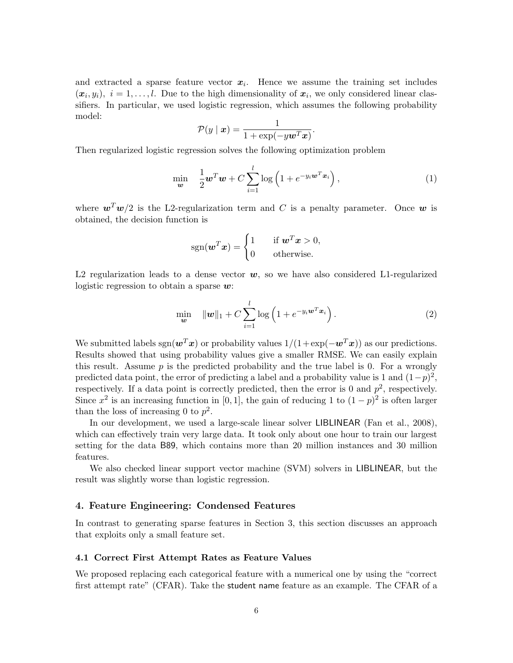and extracted a sparse feature vector  $x_i$ . Hence we assume the training set includes  $(x_i, y_i), i = 1, \ldots, l.$  Due to the high dimensionality of  $x_i$ , we only considered linear classifiers. In particular, we used logistic regression, which assumes the following probability model:

$$
\mathcal{P}(y \mid \boldsymbol{x}) = \frac{1}{1 + \exp(-y \boldsymbol{w}^T \boldsymbol{x})}.
$$

Then regularized logistic regression solves the following optimization problem

$$
\min_{\boldsymbol{w}} \quad \frac{1}{2} \boldsymbol{w}^T \boldsymbol{w} + C \sum_{i=1}^l \log \left( 1 + e^{-y_i \boldsymbol{w}^T \boldsymbol{x}_i} \right), \tag{1}
$$

where  $\mathbf{w}^T \mathbf{w}/2$  is the L2-regularization term and C is a penalty parameter. Once w is obtained, the decision function is

$$
sgn(\boldsymbol{w}^T\boldsymbol{x}) = \begin{cases} 1 & \text{if } \boldsymbol{w}^T\boldsymbol{x} > 0, \\ 0 & \text{otherwise.} \end{cases}
$$

L2 regularization leads to a dense vector  $w$ , so we have also considered L1-regularized logistic regression to obtain a sparse  $w$ :

$$
\min_{\boldsymbol{w}} \quad \|\boldsymbol{w}\|_1 + C \sum_{i=1}^l \log\left(1 + e^{-y_i \boldsymbol{w}^T \boldsymbol{x}_i}\right). \tag{2}
$$

We submitted labels sgn $(\mathbf{w}^T\mathbf{x})$  or probability values  $1/(1+\exp(-\mathbf{w}^T\mathbf{x}))$  as our predictions. Results showed that using probability values give a smaller RMSE. We can easily explain this result. Assume  $p$  is the predicted probability and the true label is 0. For a wrongly predicted data point, the error of predicting a label and a probability value is 1 and  $(1-p)^2$ , respectively. If a data point is correctly predicted, then the error is 0 and  $p^2$ , respectively. Since  $x^2$  is an increasing function in [0, 1], the gain of reducing 1 to  $(1-p)^2$  is often larger than the loss of increasing 0 to  $p^2$ .

In our development, we used a large-scale linear solver LIBLINEAR (Fan et al., 2008), which can effectively train very large data. It took only about one hour to train our largest setting for the data B89, which contains more than 20 million instances and 30 million features.

We also checked linear support vector machine (SVM) solvers in LIBLINEAR, but the result was slightly worse than logistic regression.

## 4. Feature Engineering: Condensed Features

In contrast to generating sparse features in Section 3, this section discusses an approach that exploits only a small feature set.

#### 4.1 Correct First Attempt Rates as Feature Values

We proposed replacing each categorical feature with a numerical one by using the "correct first attempt rate" (CFAR). Take the student name feature as an example. The CFAR of a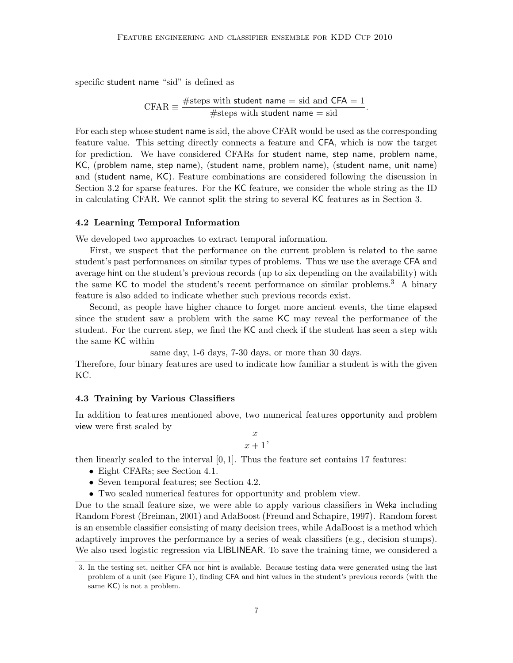specific student name "sid" is defined as

$$
CFAR \equiv \frac{\text{\#steps with student name = sid and CFA = 1}}{\text{\#steps with student name = sid}}.
$$

For each step whose student name is sid, the above CFAR would be used as the corresponding feature value. This setting directly connects a feature and CFA, which is now the target for prediction. We have considered CFARs for student name, step name, problem name, KC, (problem name, step name), (student name, problem name), (student name, unit name) and (student name, KC). Feature combinations are considered following the discussion in Section 3.2 for sparse features. For the KC feature, we consider the whole string as the ID in calculating CFAR. We cannot split the string to several KC features as in Section 3.

#### 4.2 Learning Temporal Information

We developed two approaches to extract temporal information.

First, we suspect that the performance on the current problem is related to the same student's past performances on similar types of problems. Thus we use the average CFA and average hint on the student's previous records (up to six depending on the availability) with the same KC to model the student's recent performance on similar problems.<sup>3</sup> A binary feature is also added to indicate whether such previous records exist.

Second, as people have higher chance to forget more ancient events, the time elapsed since the student saw a problem with the same KC may reveal the performance of the student. For the current step, we find the KC and check if the student has seen a step with the same KC within

same day, 1-6 days, 7-30 days, or more than 30 days.

Therefore, four binary features are used to indicate how familiar a student is with the given KC.

#### 4.3 Training by Various Classifiers

In addition to features mentioned above, two numerical features opportunity and problem view were first scaled by

$$
\frac{x}{x+1},
$$

then linearly scaled to the interval  $[0, 1]$ . Thus the feature set contains 17 features:

- Eight CFARs; see Section 4.1.
- Seven temporal features; see Section 4.2.
- Two scaled numerical features for opportunity and problem view.

Due to the small feature size, we were able to apply various classifiers in Weka including Random Forest (Breiman, 2001) and AdaBoost (Freund and Schapire, 1997). Random forest is an ensemble classifier consisting of many decision trees, while AdaBoost is a method which adaptively improves the performance by a series of weak classifiers (e.g., decision stumps). We also used logistic regression via LIBLINEAR. To save the training time, we considered a

<sup>3.</sup> In the testing set, neither CFA nor hint is available. Because testing data were generated using the last problem of a unit (see Figure 1), finding CFA and hint values in the student's previous records (with the same KC) is not a problem.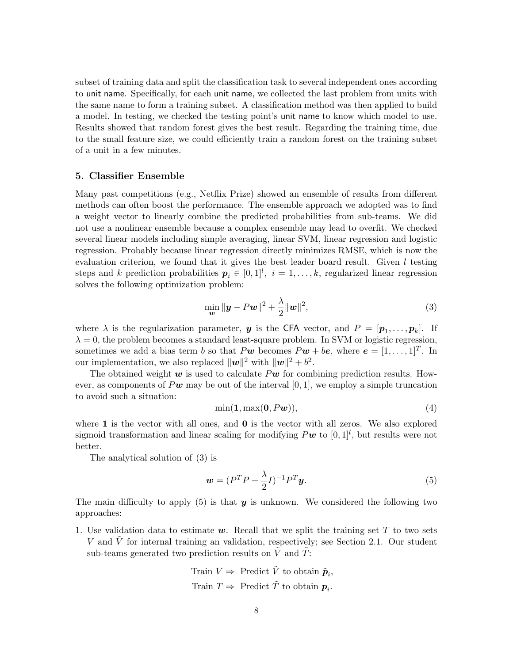subset of training data and split the classification task to several independent ones according to unit name. Specifically, for each unit name, we collected the last problem from units with the same name to form a training subset. A classification method was then applied to build a model. In testing, we checked the testing point's unit name to know which model to use. Results showed that random forest gives the best result. Regarding the training time, due to the small feature size, we could efficiently train a random forest on the training subset of a unit in a few minutes.

#### 5. Classifier Ensemble

Many past competitions (e.g., Netflix Prize) showed an ensemble of results from different methods can often boost the performance. The ensemble approach we adopted was to find a weight vector to linearly combine the predicted probabilities from sub-teams. We did not use a nonlinear ensemble because a complex ensemble may lead to overfit. We checked several linear models including simple averaging, linear SVM, linear regression and logistic regression. Probably because linear regression directly minimizes RMSE, which is now the evaluation criterion, we found that it gives the best leader board result. Given  $l$  testing steps and k prediction probabilities  $p_i \in [0,1]^l$ ,  $i = 1, \ldots, k$ , regularized linear regression solves the following optimization problem:

$$
\min_{\boldsymbol{w}} \|\boldsymbol{y} - P\boldsymbol{w}\|^2 + \frac{\lambda}{2} \|\boldsymbol{w}\|^2, \tag{3}
$$

where  $\lambda$  is the regularization parameter, **y** is the CFA vector, and  $P = [\mathbf{p}_1, \dots, \mathbf{p}_k]$ . If  $\lambda = 0$ , the problem becomes a standard least-square problem. In SVM or logistic regression, sometimes we add a bias term b so that  $Pw$  becomes  $Pw + be$ , where  $e = [1, \ldots, 1]^T$ . In our implementation, we also replaced  $\|\boldsymbol{w}\|^2$  with  $\|\boldsymbol{w}\|^2 + b^2$ .

The obtained weight w is used to calculate  $P\mathbf{w}$  for combining prediction results. However, as components of Pw may be out of the interval  $[0, 1]$ , we employ a simple truncation to avoid such a situation:

$$
\min(\mathbf{1}, \max(\mathbf{0}, P\mathbf{w})),\tag{4}
$$

where  $1$  is the vector with all ones, and  $0$  is the vector with all zeros. We also explored sigmoid transformation and linear scaling for modifying  $P\boldsymbol{w}$  to  $[0,1]^l$ , but results were not better.

The analytical solution of (3) is

$$
\mathbf{w} = (P^T P + \frac{\lambda}{2} I)^{-1} P^T \mathbf{y}.
$$
\n<sup>(5)</sup>

The main difficulty to apply  $(5)$  is that  $y$  is unknown. We considered the following two approaches:

1. Use validation data to estimate  $w$ . Recall that we split the training set T to two sets  $V$  and  $V$  for internal training an validation, respectively; see Section 2.1. Our student sub-teams generated two prediction results on  $\tilde{V}$  and  $\tilde{T}$ :

Train 
$$
V \Rightarrow
$$
 Predict  $\tilde{V}$  to obtain  $\tilde{p}_i$ ,  
Train  $T \Rightarrow$  Predict  $\tilde{T}$  to obtain  $p_i$ .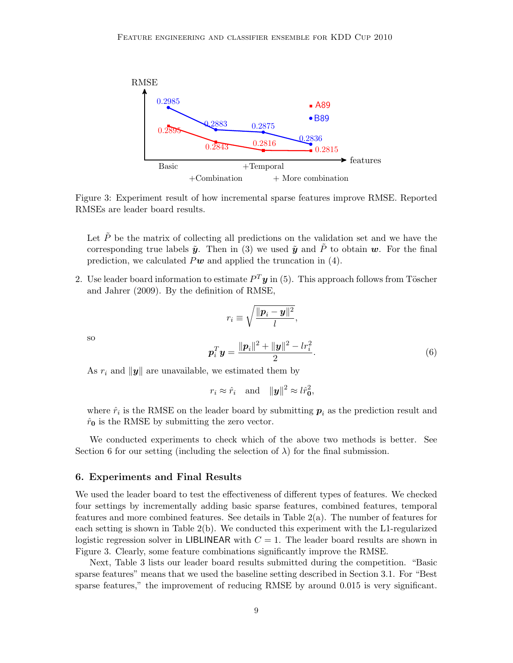

Figure 3: Experiment result of how incremental sparse features improve RMSE. Reported RMSEs are leader board results.

Let  $\tilde{P}$  be the matrix of collecting all predictions on the validation set and we have the corresponding true labels  $\tilde{y}$ . Then in (3) we used  $\tilde{y}$  and  $\tilde{P}$  to obtain w. For the final prediction, we calculated  $P\mathbf{w}$  and applied the truncation in (4).

2. Use leader board information to estimate  $P^T y$  in (5). This approach follows from Töscher and Jahrer (2009). By the definition of RMSE,

$$
r_i \equiv \sqrt{\frac{\|\boldsymbol{p}_i - \boldsymbol{y}\|^2}{l}},
$$
  

$$
\boldsymbol{p}_i^T \boldsymbol{y} = \frac{\|\boldsymbol{p}_i\|^2 + \|\boldsymbol{y}\|^2 - lr_i^2}{2}.
$$
 (6)

As  $r_i$  and  $\|\mathbf{y}\|$  are unavailable, we estimated them by

$$
r_i \approx \hat{r}_i
$$
 and  $||\mathbf{y}||^2 \approx l\hat{r}_0^2$ ,

where  $\hat{r}_i$  is the RMSE on the leader board by submitting  $p_i$  as the prediction result and  $\hat{r}_0$  is the RMSE by submitting the zero vector.

We conducted experiments to check which of the above two methods is better. See Section 6 for our setting (including the selection of  $\lambda$ ) for the final submission.

#### 6. Experiments and Final Results

so

We used the leader board to test the effectiveness of different types of features. We checked four settings by incrementally adding basic sparse features, combined features, temporal features and more combined features. See details in Table 2(a). The number of features for each setting is shown in Table 2(b). We conducted this experiment with the L1-regularized logistic regression solver in LIBLINEAR with  $C = 1$ . The leader board results are shown in Figure 3. Clearly, some feature combinations significantly improve the RMSE.

Next, Table 3 lists our leader board results submitted during the competition. "Basic sparse features" means that we used the baseline setting described in Section 3.1. For "Best sparse features," the improvement of reducing RMSE by around 0.015 is very significant.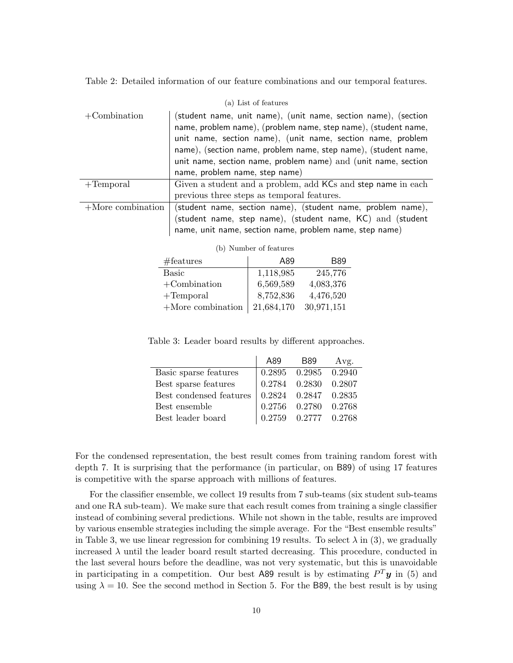Table 2: Detailed information of our feature combinations and our temporal features.

| (a) List of features |                                                                                                                                                                                                                                                                                                                                                                       |  |
|----------------------|-----------------------------------------------------------------------------------------------------------------------------------------------------------------------------------------------------------------------------------------------------------------------------------------------------------------------------------------------------------------------|--|
| $+$ Combination      | (student name, unit name), (unit name, section name), (section<br>name, problem name), (problem name, step name), (student name,<br>unit name, section name), (unit name, section name, problem<br>name), (section name, problem name, step name), (student name,<br>unit name, section name, problem name) and (unit name, section<br>name, problem name, step name) |  |
| $+$ Temporal         | Given a student and a problem, add KCs and step name in each<br>previous three steps as temporal features.                                                                                                                                                                                                                                                            |  |
| $+$ More combination | (student name, section name), (student name, problem name),<br>(student name, step name), (student name, KC) and (student<br>name, unit name, section name, problem name, step name)                                                                                                                                                                                  |  |
| Number of features   |                                                                                                                                                                                                                                                                                                                                                                       |  |

| #features            | A89        | <b>B89</b> |
|----------------------|------------|------------|
| <b>Basic</b>         | 1,118,985  | 245,776    |
| $+$ Combination      | 6,569,589  | 4,083,376  |
| $+$ Temporal         | 8,752,836  | 4,476,520  |
| $+$ More combination | 21,684,170 | 30,971,151 |

Table 3: Leader board results by different approaches.

|                         | A89 | B89                        | Avg. |
|-------------------------|-----|----------------------------|------|
| Basic sparse features   |     | 0.2895 0.2985 0.2940       |      |
| Best sparse features    |     | $0.2784$ $0.2830$ $0.2807$ |      |
| Best condensed features |     | $0.2824$ $0.2847$ $0.2835$ |      |
| Best ensemble           |     | $0.2756$ $0.2780$ $0.2768$ |      |
| Best leader board       |     | $0.2759$ $0.2777$ $0.2768$ |      |

For the condensed representation, the best result comes from training random forest with depth 7. It is surprising that the performance (in particular, on B89) of using 17 features is competitive with the sparse approach with millions of features.

For the classifier ensemble, we collect 19 results from 7 sub-teams (six student sub-teams and one RA sub-team). We make sure that each result comes from training a single classifier instead of combining several predictions. While not shown in the table, results are improved by various ensemble strategies including the simple average. For the "Best ensemble results" in Table 3, we use linear regression for combining 19 results. To select  $\lambda$  in (3), we gradually increased  $\lambda$  until the leader board result started decreasing. This procedure, conducted in the last several hours before the deadline, was not very systematic, but this is unavoidable in participating in a competition. Our best A89 result is by estimating  $P^T y$  in (5) and using  $\lambda = 10$ . See the second method in Section 5. For the B89, the best result is by using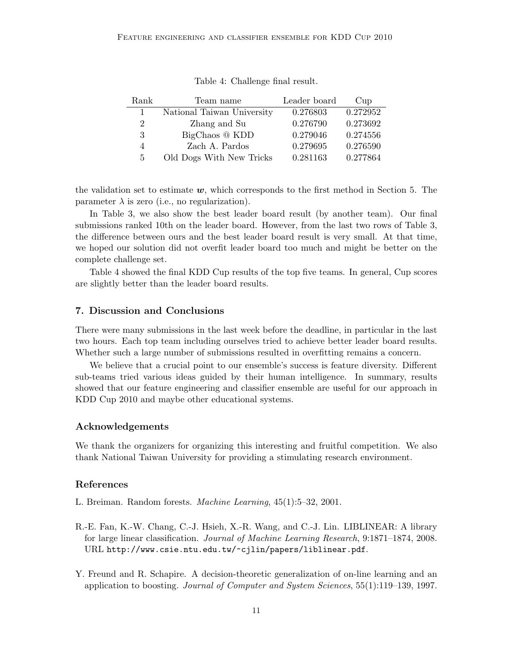| Rank         | Team name                  | Leader board | Cup      |
|--------------|----------------------------|--------------|----------|
| $\mathbf{1}$ | National Taiwan University | 0.276803     | 0.272952 |
| 2            | Zhang and Su               | 0.276790     | 0.273692 |
| 3            | BigChaos @ KDD             | 0.279046     | 0.274556 |
| 4            | Zach A. Pardos             | 0.279695     | 0.276590 |
| 5            | Old Dogs With New Tricks   | 0.281163     | 0.277864 |

Table 4: Challenge final result.

the validation set to estimate  $w$ , which corresponds to the first method in Section 5. The parameter  $\lambda$  is zero (i.e., no regularization).

In Table 3, we also show the best leader board result (by another team). Our final submissions ranked 10th on the leader board. However, from the last two rows of Table 3, the difference between ours and the best leader board result is very small. At that time, we hoped our solution did not overfit leader board too much and might be better on the complete challenge set.

Table 4 showed the final KDD Cup results of the top five teams. In general, Cup scores are slightly better than the leader board results.

## 7. Discussion and Conclusions

There were many submissions in the last week before the deadline, in particular in the last two hours. Each top team including ourselves tried to achieve better leader board results. Whether such a large number of submissions resulted in overfitting remains a concern.

We believe that a crucial point to our ensemble's success is feature diversity. Different sub-teams tried various ideas guided by their human intelligence. In summary, results showed that our feature engineering and classifier ensemble are useful for our approach in KDD Cup 2010 and maybe other educational systems.

#### Acknowledgements

We thank the organizers for organizing this interesting and fruitful competition. We also thank National Taiwan University for providing a stimulating research environment.

## References

- L. Breiman. Random forests. Machine Learning, 45(1):5–32, 2001.
- R.-E. Fan, K.-W. Chang, C.-J. Hsieh, X.-R. Wang, and C.-J. Lin. LIBLINEAR: A library for large linear classification. Journal of Machine Learning Research, 9:1871–1874, 2008. URL http://www.csie.ntu.edu.tw/~cjlin/papers/liblinear.pdf.
- Y. Freund and R. Schapire. A decision-theoretic generalization of on-line learning and an application to boosting. Journal of Computer and System Sciences, 55(1):119–139, 1997.